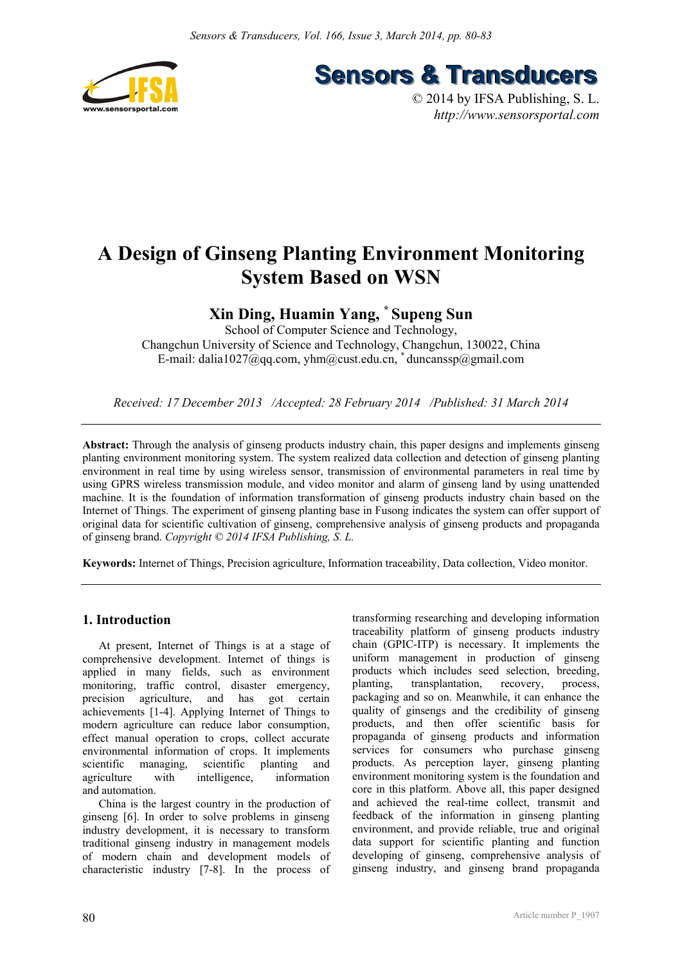

**Sensors & Transducers** 

© 2014 by IFSA Publishing, S. L. *http://www.sensorsportal.com*

# **A Design of Ginseng Planting Environment Monitoring System Based on WSN**

## **Xin Ding, Huamin Yang, \* Supeng Sun**

School of Computer Science and Technology, Changchun University of Science and Technology, Changchun, 130022, China E-mail: dalia1027@qq.com, yhm@cust.edu.cn, \*duncanssp@gmail.com

*Received: 17 December 2013 /Accepted: 28 February 2014 /Published: 31 March 2014* 

**Abstract:** Through the analysis of ginseng products industry chain, this paper designs and implements ginseng planting environment monitoring system. The system realized data collection and detection of ginseng planting environment in real time by using wireless sensor, transmission of environmental parameters in real time by using GPRS wireless transmission module, and video monitor and alarm of ginseng land by using unattended machine. It is the foundation of information transformation of ginseng products industry chain based on the Internet of Things. The experiment of ginseng planting base in Fusong indicates the system can offer support of original data for scientific cultivation of ginseng, comprehensive analysis of ginseng products and propaganda of ginseng brand. *Copyright © 2014 IFSA Publishing, S. L.*

**Keywords:** Internet of Things, Precision agriculture, Information traceability, Data collection, Video monitor.

#### **1. Introduction**

At present, Internet of Things is at a stage of comprehensive development. Internet of things is applied in many fields, such as environment monitoring, traffic control, disaster emergency, precision agriculture, and has got certain achievements [1-4]. Applying Internet of Things to modern agriculture can reduce labor consumption, effect manual operation to crops, collect accurate environmental information of crops. It implements scientific managing, scientific planting and agriculture with intelligence, information and automation.

China is the largest country in the production of ginseng [6]. In order to solve problems in ginseng industry development, it is necessary to transform traditional ginseng industry in management models of modern chain and development models of characteristic industry [7-8]. In the process of

transforming researching and developing information traceability platform of ginseng products industry chain (GPIC-ITP) is necessary. It implements the uniform management in production of ginseng products which includes seed selection, breeding, planting, transplantation, recovery, process, packaging and so on. Meanwhile, it can enhance the quality of ginsengs and the credibility of ginseng products, and then offer scientific basis for propaganda of ginseng products and information services for consumers who purchase ginseng products. As perception layer, ginseng planting environment monitoring system is the foundation and core in this platform. Above all, this paper designed and achieved the real-time collect, transmit and feedback of the information in ginseng planting environment, and provide reliable, true and original data support for scientific planting and function developing of ginseng, comprehensive analysis of ginseng industry, and ginseng brand propaganda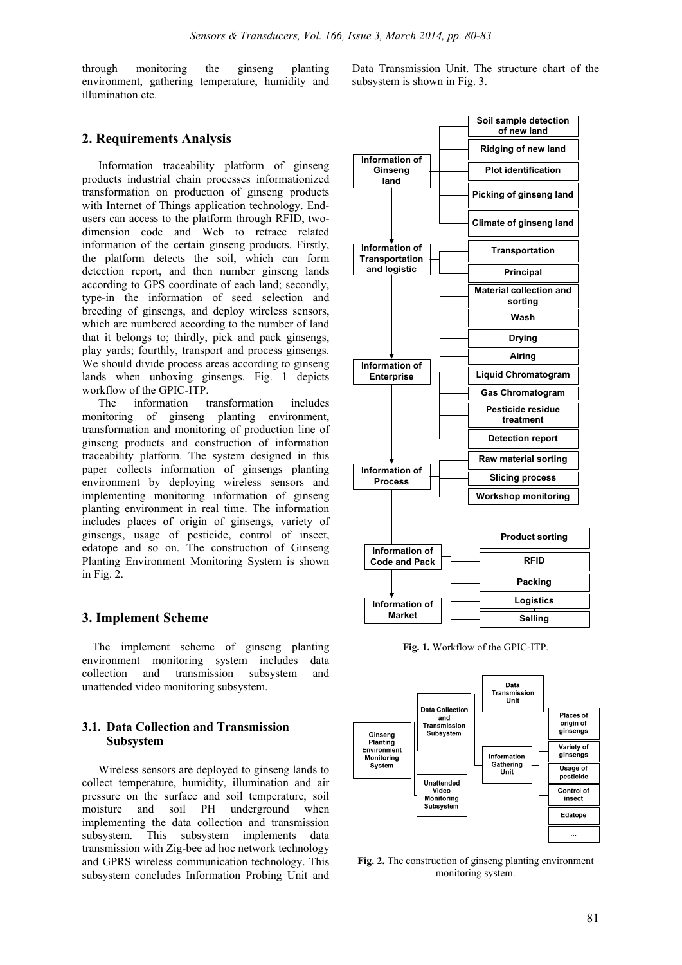through monitoring the ginseng planting environment, gathering temperature, humidity and illumination etc.

#### **2. Requirements Analysis**

Information traceability platform of ginseng products industrial chain processes informationized transformation on production of ginseng products with Internet of Things application technology. Endusers can access to the platform through RFID, twodimension code and Web to retrace related information of the certain ginseng products. Firstly, the platform detects the soil, which can form detection report, and then number ginseng lands according to GPS coordinate of each land; secondly, type-in the information of seed selection and breeding of ginsengs, and deploy wireless sensors, which are numbered according to the number of land that it belongs to; thirdly, pick and pack ginsengs, play yards; fourthly, transport and process ginsengs. We should divide process areas according to ginseng lands when unboxing ginsengs. Fig. 1 depicts workflow of the GPIC-ITP.

The information transformation includes monitoring of ginseng planting environment, transformation and monitoring of production line of ginseng products and construction of information traceability platform. The system designed in this paper collects information of ginsengs planting environment by deploying wireless sensors and implementing monitoring information of ginseng planting environment in real time. The information includes places of origin of ginsengs, variety of ginsengs, usage of pesticide, control of insect, edatope and so on. The construction of Ginseng Planting Environment Monitoring System is shown in Fig. 2.

#### **3. Implement Scheme**

The implement scheme of ginseng planting environment monitoring system includes data collection and transmission subsystem and unattended video monitoring subsystem.

#### **3.1. Data Collection and Transmission Subsystem**

Wireless sensors are deployed to ginseng lands to collect temperature, humidity, illumination and air pressure on the surface and soil temperature, soil moisture and soil PH underground when implementing the data collection and transmission subsystem. This subsystem implements data transmission with Zig-bee ad hoc network technology and GPRS wireless communication technology. This subsystem concludes Information Probing Unit and

Data Transmission Unit. The structure chart of the subsystem is shown in Fig. 3.



**Fig. 1.** Workflow of the GPIC-ITP.



**Fig. 2.** The construction of ginseng planting environment monitoring system.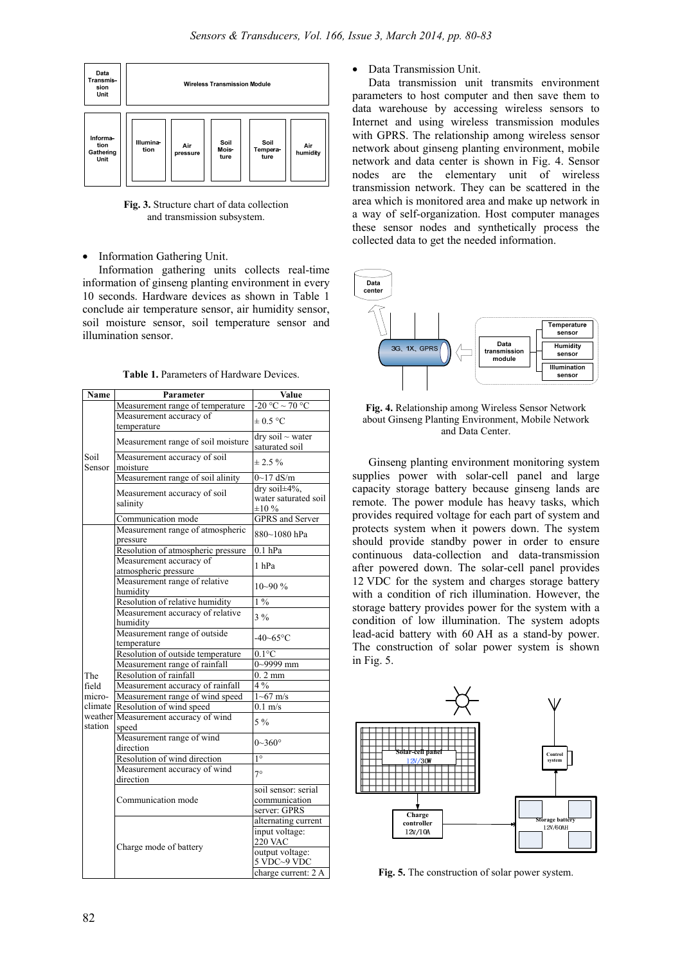

**Fig. 3.** Structure chart of data collection and transmission subsystem.

Information Gathering Unit.

Information gathering units collects real-time information of ginseng planting environment in every 10 seconds. Hardware devices as shown in Table 1 conclude air temperature sensor, air humidity sensor, soil moisture sensor, soil temperature sensor and illumination sensor.

| Name                                         | Parameter                                       | Value                       |
|----------------------------------------------|-------------------------------------------------|-----------------------------|
|                                              | Measurement range of temperature                | $-20 °C \sim 70 °C$         |
| Soil<br>Sensor                               | Measurement accuracy of                         |                             |
|                                              | temperature                                     | $\pm 0.5$ °C                |
|                                              |                                                 | $dry$ soil $\sim$ water     |
|                                              | Measurement range of soil moisture              | saturated soil              |
|                                              | Measurement accuracy of soil                    | $\pm 2.5 \%$                |
|                                              | moisture                                        |                             |
|                                              | Measurement range of soil alinity               | $0 - 17$ dS/m               |
|                                              | Measurement accuracy of soil<br>salinity        | dry soil±4%,                |
|                                              |                                                 | water saturated soil        |
|                                              |                                                 | $\pm 10\%$                  |
|                                              | Communication mode                              | <b>GPRS</b> and Server      |
| The<br>field<br>micro-<br>climate<br>station | Measurement range of atmospheric                | 880~1080 hPa                |
|                                              | pressure                                        |                             |
|                                              | Resolution of atmospheric pressure              | $0.1$ hPa                   |
|                                              | Measurement accuracy of<br>atmospheric pressure | 1 hPa                       |
|                                              | Measurement range of relative                   |                             |
|                                              | humidity                                        | $10 - 90%$                  |
|                                              | Resolution of relative humidity                 | $1\%$                       |
|                                              | Measurement accuracy of relative                |                             |
|                                              | humidity                                        | $3\frac{9}{6}$              |
|                                              | Measurement range of outside                    |                             |
|                                              | temperature                                     | $-40 - 65$ °C               |
|                                              | Resolution of outside temperature               | $0.1^{\circ}$ C             |
|                                              | Measurement range of rainfall                   | $0 - 9999$ mm               |
|                                              | Resolution of rainfall                          | $0.2$ mm                    |
|                                              | Measurement accuracy of rainfall                | $4\%$                       |
|                                              | Measurement range of wind speed                 | $1 - 67$ m/s                |
|                                              | Resolution of wind speed                        | $0.1 \text{ m/s}$           |
|                                              | weather Measurement accuracy of wind            | $5\%$                       |
|                                              | speed                                           |                             |
|                                              | Measurement range of wind                       | $0 - 360^{\circ}$           |
|                                              | direction                                       |                             |
|                                              | Resolution of wind direction                    | $1^{\circ}$                 |
|                                              | Measurement accuracy of wind                    | $7^\circ$                   |
|                                              | direction                                       |                             |
|                                              | Communication mode                              | soil sensor: serial         |
|                                              |                                                 | communication               |
|                                              | Charge mode of battery                          | server: GPRS                |
|                                              |                                                 | alternating current         |
|                                              |                                                 | input voltage:<br>$220$ VAC |
|                                              |                                                 | output voltage:             |
|                                              |                                                 | 5 VDC~9 VDC                 |
|                                              |                                                 | charge current: 2 A         |
|                                              |                                                 |                             |

**Table 1.** Parameters of Hardware Devices.

#### • Data Transmission Unit.

Data transmission unit transmits environment parameters to host computer and then save them to data warehouse by accessing wireless sensors to Internet and using wireless transmission modules with GPRS. The relationship among wireless sensor network about ginseng planting environment, mobile network and data center is shown in Fig. 4. Sensor nodes are the elementary unit of wireless transmission network. They can be scattered in the area which is monitored area and make up network in a way of self-organization. Host computer manages these sensor nodes and synthetically process the collected data to get the needed information.



**Fig. 4.** Relationship among Wireless Sensor Network about Ginseng Planting Environment, Mobile Network and Data Center.

Ginseng planting environment monitoring system supplies power with solar-cell panel and large capacity storage battery because ginseng lands are remote. The power module has heavy tasks, which provides required voltage for each part of system and protects system when it powers down. The system should provide standby power in order to ensure continuous data-collection and data-transmission after powered down. The solar-cell panel provides 12 VDC for the system and charges storage battery with a condition of rich illumination. However, the storage battery provides power for the system with a condition of low illumination. The system adopts lead-acid battery with 60 AH as a stand-by power. The construction of solar power system is shown in Fig. 5.



**Fig. 5.** The construction of solar power system.